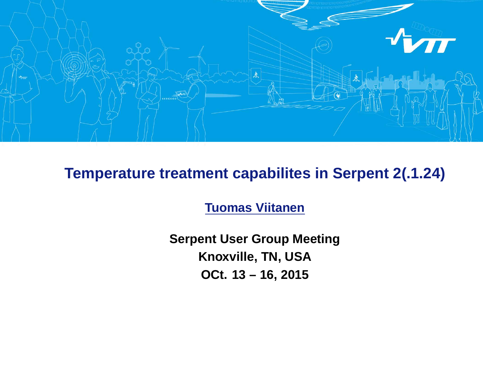

#### **Temperature treatment capabilites in Serpent 2(.1.24)**

**Tuomas Viitanen**

**Serpent User Group Meeting Knoxville, TN, USA OCt. 13 – 16, 2015**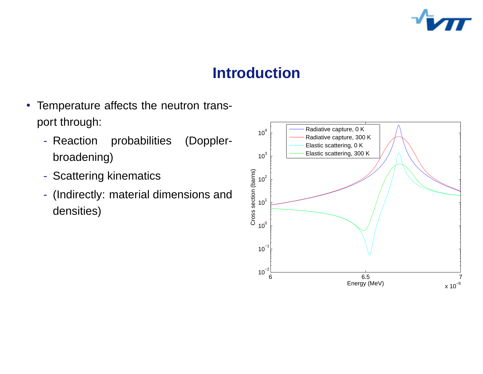

### **Introduction**

- Temperature affects the neutron transport through:
	- Reaction probabilities (Dopplerbroadening)
	- Scattering kinematics
	- (Indirectly: material dimensions and densities)

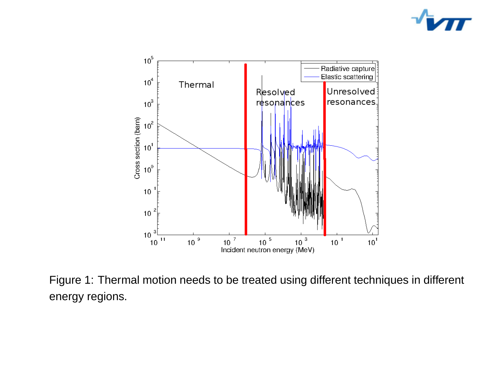



Figure 1: Thermal motion needs to be treated using different techniques in different energy regions.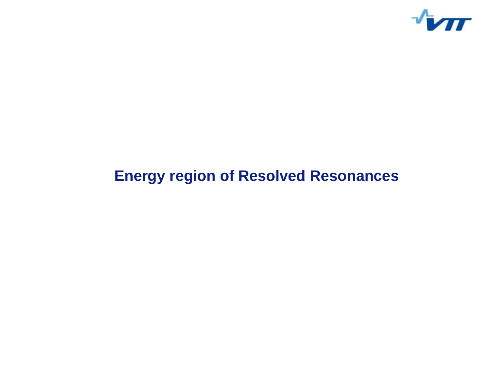

## **Energy region of Resolved Resonances**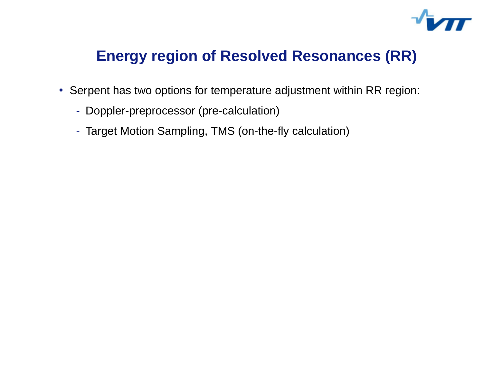

#### **Energy region of Resolved Resonances (RR)**

- Serpent has two options for temperature adjustment within RR region:
	- Doppler-preprocessor (pre-calculation)
	- Target Motion Sampling, TMS (on-the-fly calculation)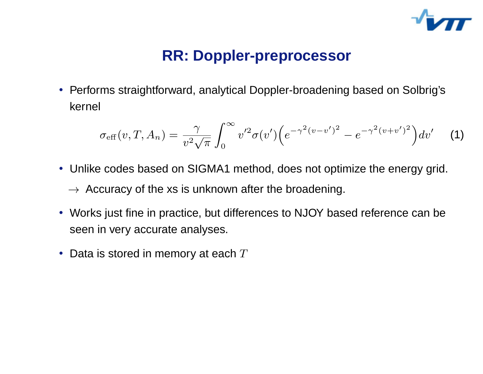

### **RR: Doppler-preprocessor**

• Performs straightforward, analytical Doppler-broadening based on Solbrig's kernel

$$
\sigma_{\text{eff}}(v, T, A_n) = \frac{\gamma}{v^2 \sqrt{\pi}} \int_0^\infty v'^2 \sigma(v') \Big( e^{-\gamma^2 (v - v')^2} - e^{-\gamma^2 (v + v')^2} \Big) dv' \tag{1}
$$

- Unlike codes based on SIGMA1 method, does not optimize the energy grid.  $\rightarrow$  Accuracy of the xs is unknown after the broadening.
- Works just fine in practice, but differences to NJOY based reference can be seen in very accurate analyses.
- Data is stored in memory at each  $T$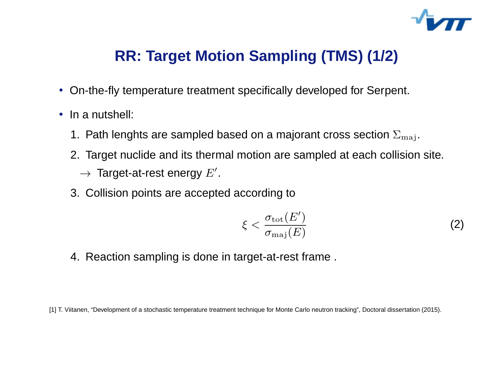

## **RR: Target Motion Sampling (TMS) (1/2)**

- On-the-fly temperature treatment specifically developed for Serpent.
- In a nutshell:
	- 1. Path lenghts are sampled based on a majorant cross section  $\Sigma_{\rm maj}$ .
	- 2. Target nuclide and its thermal motion are sampled at each collision site.  $\rightarrow$  Target-at-rest energy  $E'$ .
	- 3. Collision points are accepted according to

$$
\xi < \frac{\sigma_{\text{tot}}(E')}{\sigma_{\text{maj}}(E)}\tag{2}
$$

4. Reaction sampling is done in target-at-rest frame .

[1] T. Viitanen, "Development of a stochastic temperature treatment technique for Monte Carlo neutron tracking", Doctoral dissertation (2015).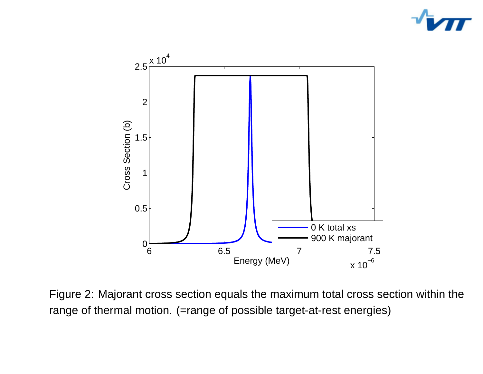



Figure 2: Majorant cross section equals the maximum total cross section within the range of thermal motion. (=range of possible target-at-rest energies)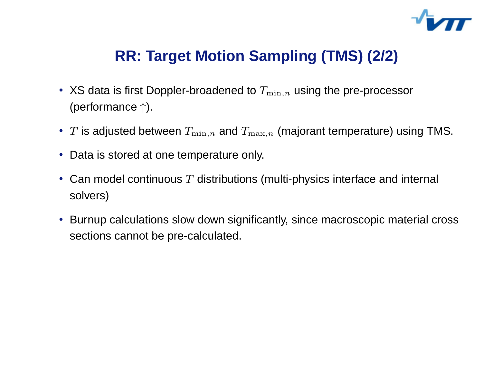

## **RR: Target Motion Sampling (TMS) (2/2)**

- XS data is first Doppler-broadened to  $T_{\min,n}$  using the pre-processor (performance ↑).
- $\bullet$   $\ T$  is adjusted between  $T_{\min,n}$  and  $T_{\max,n}$  (majorant temperature) using TMS.
- Data is stored at one temperature only.
- Can model continuous  $T$  distributions (multi-physics interface and internal solvers)
- Burnup calculations slow down significantly, since macroscopic material cross sections cannot be pre-calculated.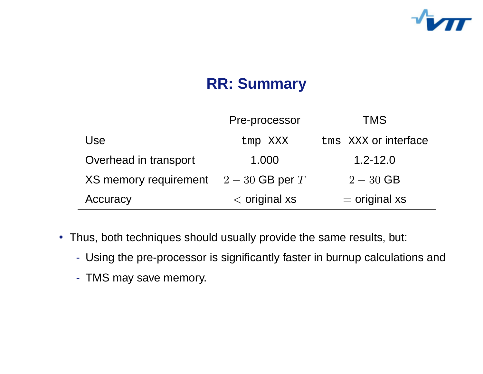

## **RR: Summary**

|                                       | Pre-processor   | <b>TMS</b>           |
|---------------------------------------|-----------------|----------------------|
| Use                                   | tmp XXX         | tms XXX or interface |
| Overhead in transport                 | 1.000           | $1.2 - 12.0$         |
| XS memory requirement $2-30$ GB per T |                 | $2 - 30$ GB          |
| Accuracy                              | $<$ original xs | $=$ original xs      |

- Thus, both techniques should usually provide the same results, but:
	- Using the pre-processor is significantly faster in burnup calculations and
	- TMS may save memory.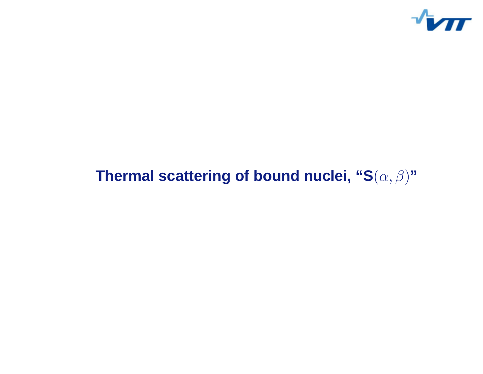

# **Thermal scattering of bound nuclei, "S** (α, β ) **"**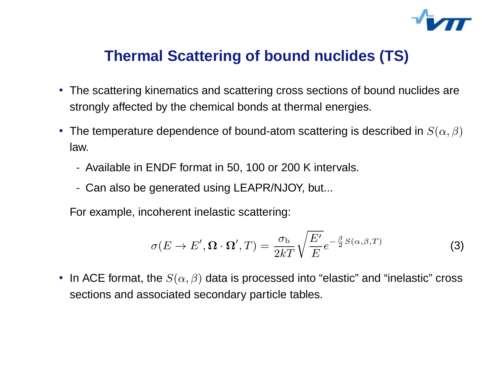

### **Thermal Scattering of bound nuclides (TS)**

- The scattering kinematics and scattering cross sections of bound nuclides are strongly affected by the chemical bonds at thermal energies.
- The temperature dependence of bound-atom scattering is described in  $S(\alpha,\beta)$ law.
	- Available in ENDF format in 50, 100 or 200 K intervals.
	- Can also be generated using LEAPR/NJOY, but...

For example, incoherent inelastic scattering:

$$
\sigma(E \to E', \Omega \cdot \Omega', T) = \frac{\sigma_b}{2kT} \sqrt{\frac{E'}{E}} e^{-\frac{\beta}{2} S(\alpha, \beta, T)}
$$
(3)

• In ACE format, the  $S(\alpha,\beta)$  data is processed into "elastic" and "inelastic" cross sections and associated secondary particle tables.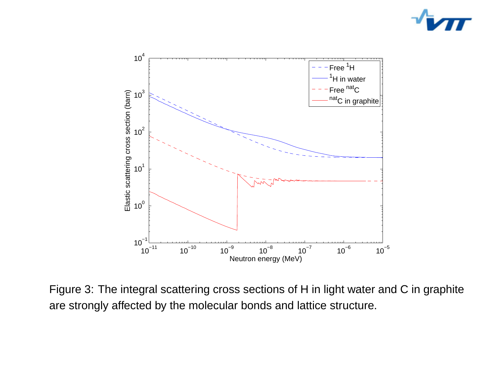



Figure 3: The integral scattering cross sections of H in light water and C in graphite are strongly affected by the molecular bonds and lattice structure.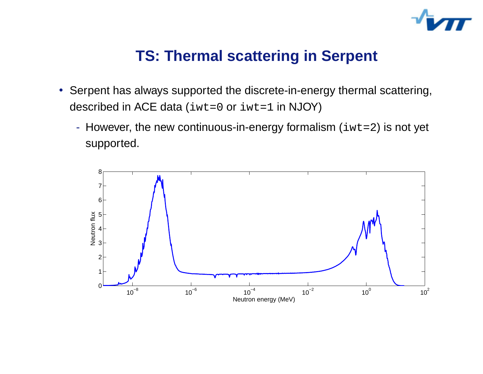

#### **TS: Thermal scattering in Serpent**

- Serpent has always supported the discrete-in-energy thermal scattering, described in ACE data (iwt=0 or iwt=1 in NJOY)
	- However, the new continuous-in-energy formalism  $(iwt=2)$  is not yet supported.

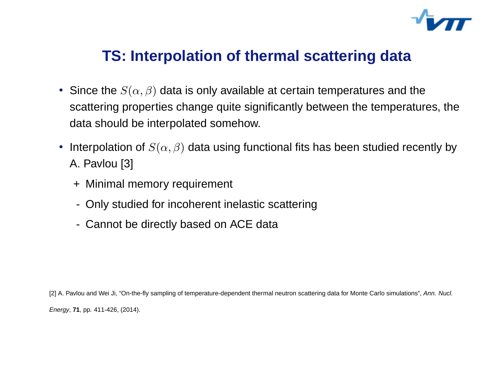

#### **TS: Interpolation of thermal scattering data**

- Since the  $S(\alpha,\beta)$  data is only available at certain temperatures and the scattering properties change quite significantly between the temperatures, the data should be interpolated somehow.
- Interpolation of  $S(\alpha,\beta)$  data using functional fits has been studied recently by A. Pavlou [3]
	- <sup>+</sup> Minimal memory requirement
	- Only studied for incoherent inelastic scattering
	- Cannot be directly based on ACE data

[2] A. Pavlou and Wei Ji, "On-the-fly sampling of temperature-dependent thermal neutron scattering data for Monte Carlo simulations", Ann. Nucl. Energy, **71**, pp. 411-426, (2014).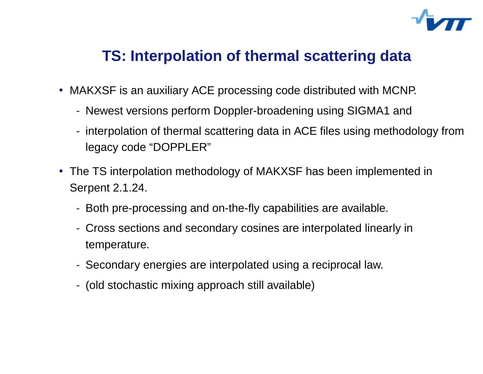

#### **TS: Interpolation of thermal scattering data**

- MAKXSF is an auxiliary ACE processing code distributed with MCNP.
	- Newest versions perform Doppler-broadening using SIGMA1 and
	- interpolation of thermal scattering data in ACE files using methodology from legacy code "DOPPLER"
- The TS interpolation methodology of MAKXSF has been implemented in Serpent 2.1.24.
	- Both pre-processing and on-the-fly capabilities are available.
	- Cross sections and secondary cosines are interpolated linearly in temperature.
	- Secondary energies are interpolated using <sup>a</sup> reciprocal law.
	- (old stochastic mixing approach still available)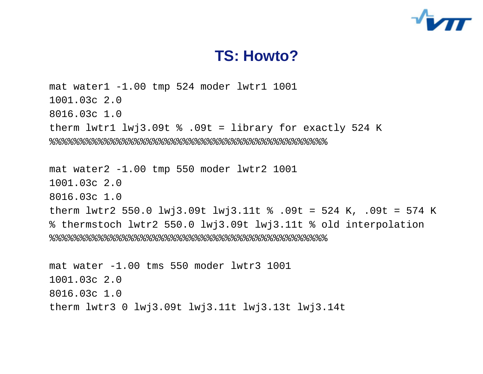

#### **TS: Howto?**

mat water1 -1.00 tmp 524 moder lwtr1 1001 1001.03c 2.0 8016.03c 1.0 therm lwtr1  $lw$   $3.09t$   $\frac{1}{2}$  .09t = library for exactly 524 K %%%%%%%%%%%%%%%%%%%%%%%%%%%%%%%%%%%%%%%%%%%%%% mat water2 -1.00 tmp 550 moder lwtr2 1001 1001.03c 2.0 8016.03c 1.0 therm lwtr2 550.0 lwj3.09t lwj3.11t % .09t = 524 K, .09t = 574 <sup>K</sup> % thermstoch lwtr2 550.0 lwj3.09t lwj3.11t % old interpolation  $888888888888888888888888888888$ mat water -1.00 tms 550 moder lwtr3 1001 1001.03c 2.0 8016.03c 1.0

therm lwtr3 0 lwj3.09t lwj3.11t lwj3.13t lwj3.14t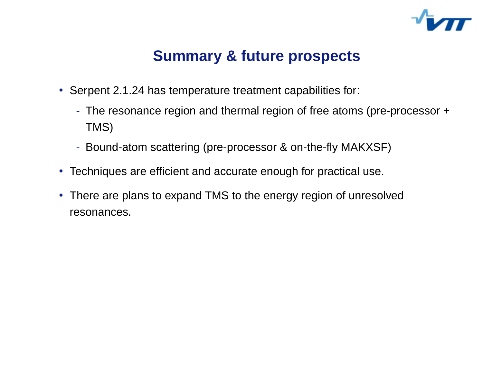

### **Summary & future prospects**

- Serpent 2.1.24 has temperature treatment capabilities for:
	- The resonance region and thermal region of free atoms (pre-processor <sup>+</sup> TMS)
	- Bound-atom scattering (pre-processor & on-the-fly MAKXSF)
- Techniques are efficient and accurate enough for practical use.
- There are plans to expand TMS to the energy region of unresolved resonances.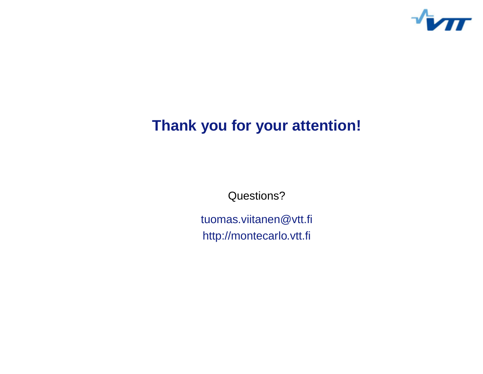

### **Thank you for your attention!**

Questions?

tuomas.viitanen@vtt.fi http://montecarlo.vtt.fi